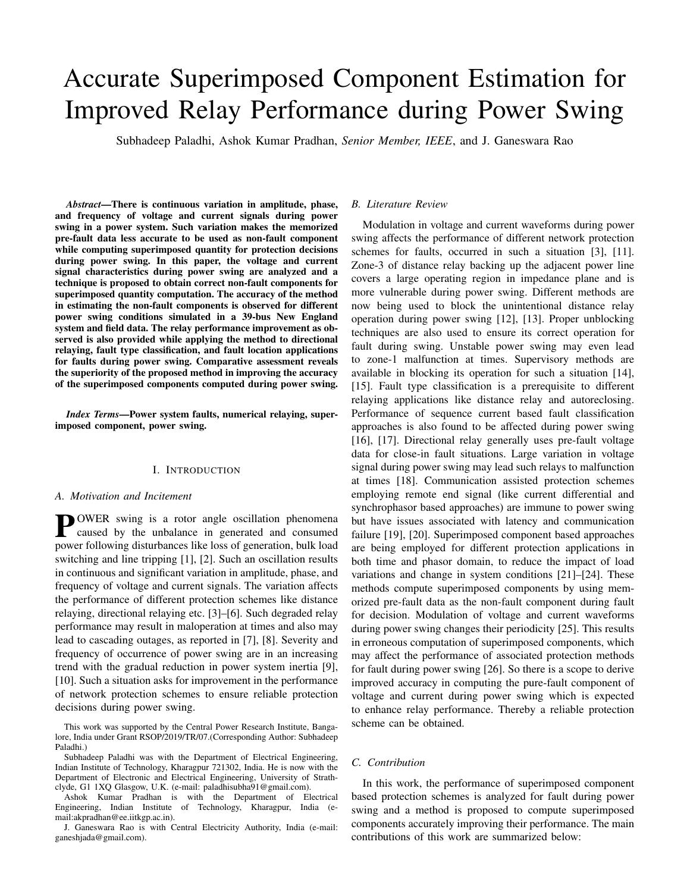# Accurate Superimposed Component Estimation for Improved Relay Performance during Power Swing

Subhadeep Paladhi, Ashok Kumar Pradhan, *Senior Member, IEEE*, and J. Ganeswara Rao

*Abstract*—There is continuous variation in amplitude, phase, and frequency of voltage and current signals during power swing in a power system. Such variation makes the memorized pre-fault data less accurate to be used as non-fault component while computing superimposed quantity for protection decisions during power swing. In this paper, the voltage and current signal characteristics during power swing are analyzed and a technique is proposed to obtain correct non-fault components for superimposed quantity computation. The accuracy of the method in estimating the non-fault components is observed for different power swing conditions simulated in a 39-bus New England system and field data. The relay performance improvement as observed is also provided while applying the method to directional relaying, fault type classification, and fault location applications for faults during power swing. Comparative assessment reveals the superiority of the proposed method in improving the accuracy of the superimposed components computed during power swing.

*Index Terms*—Power system faults, numerical relaying, superimposed component, power swing.

## I. INTRODUCTION

## *A. Motivation and Incitement*

**P**OWER swing is a rotor angle oscillation phenomena<br>caused by the unbalance in generated and consumed caused by the unbalance in generated and consumed power following disturbances like loss of generation, bulk load switching and line tripping [1], [2]. Such an oscillation results in continuous and significant variation in amplitude, phase, and frequency of voltage and current signals. The variation affects the performance of different protection schemes like distance relaying, directional relaying etc. [3]–[6]. Such degraded relay performance may result in maloperation at times and also may lead to cascading outages, as reported in [7], [8]. Severity and frequency of occurrence of power swing are in an increasing trend with the gradual reduction in power system inertia [9], [10]. Such a situation asks for improvement in the performance of network protection schemes to ensure reliable protection decisions during power swing.

This work was supported by the Central Power Research Institute, Bangalore, India under Grant RSOP/2019/TR/07.(Corresponding Author: Subhadeep Paladhi.)

Subhadeep Paladhi was with the Department of Electrical Engineering, Indian Institute of Technology, Kharagpur 721302, India. He is now with the Department of Electronic and Electrical Engineering, University of Strathclyde, G1 1XQ Glasgow, U.K. (e-mail: paladhisubha91@gmail.com).

Ashok Kumar Pradhan is with the Department of Electrical Engineering, Indian Institute of Technology, Kharagpur, India (email:akpradhan@ee.iitkgp.ac.in).

J. Ganeswara Rao is with Central Electricity Authority, India (e-mail: ganeshjada@gmail.com).

#### *B. Literature Review*

Modulation in voltage and current waveforms during power swing affects the performance of different network protection schemes for faults, occurred in such a situation [3], [11]. Zone-3 of distance relay backing up the adjacent power line covers a large operating region in impedance plane and is more vulnerable during power swing. Different methods are now being used to block the unintentional distance relay operation during power swing [12], [13]. Proper unblocking techniques are also used to ensure its correct operation for fault during swing. Unstable power swing may even lead to zone-1 malfunction at times. Supervisory methods are available in blocking its operation for such a situation [14], [15]. Fault type classification is a prerequisite to different relaying applications like distance relay and autoreclosing. Performance of sequence current based fault classification approaches is also found to be affected during power swing [16], [17]. Directional relay generally uses pre-fault voltage data for close-in fault situations. Large variation in voltage signal during power swing may lead such relays to malfunction at times [18]. Communication assisted protection schemes employing remote end signal (like current differential and synchrophasor based approaches) are immune to power swing but have issues associated with latency and communication failure [19], [20]. Superimposed component based approaches are being employed for different protection applications in both time and phasor domain, to reduce the impact of load variations and change in system conditions [21]–[24]. These methods compute superimposed components by using memorized pre-fault data as the non-fault component during fault for decision. Modulation of voltage and current waveforms during power swing changes their periodicity [25]. This results in erroneous computation of superimposed components, which may affect the performance of associated protection methods for fault during power swing [26]. So there is a scope to derive improved accuracy in computing the pure-fault component of voltage and current during power swing which is expected to enhance relay performance. Thereby a reliable protection scheme can be obtained.

#### *C. Contribution*

In this work, the performance of superimposed component based protection schemes is analyzed for fault during power swing and a method is proposed to compute superimposed components accurately improving their performance. The main contributions of this work are summarized below: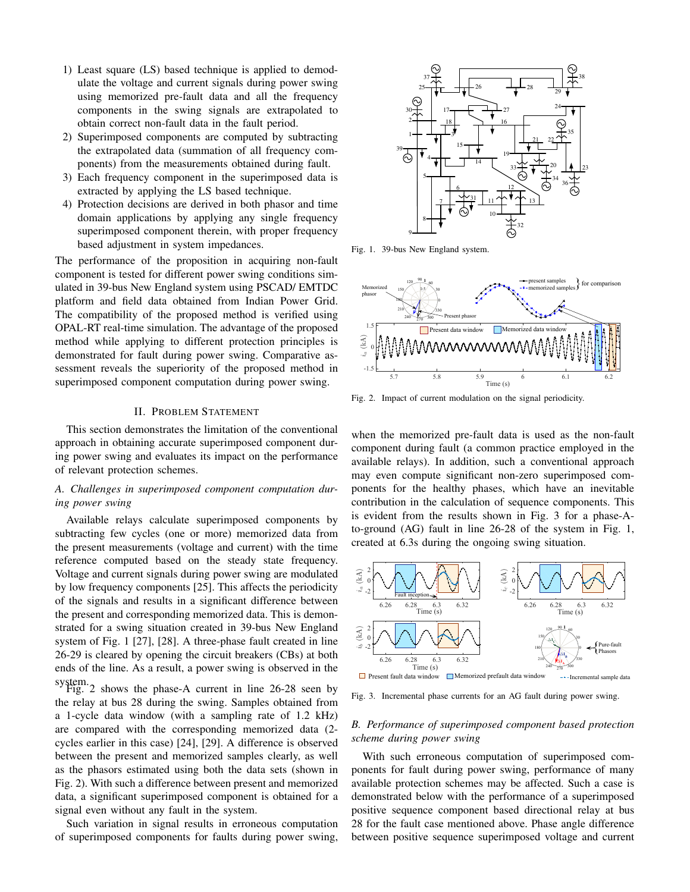- 1) Least square (LS) based technique is applied to demodulate the voltage and current signals during power swing using memorized pre-fault data and all the frequency components in the swing signals are extrapolated to obtain correct non-fault data in the fault period.
- 2) Superimposed components are computed by subtracting the extrapolated data (summation of all frequency components) from the measurements obtained during fault.
- 3) Each frequency component in the superimposed data is extracted by applying the LS based technique.
- 4) Protection decisions are derived in both phasor and time domain applications by applying any single frequency superimposed component therein, with proper frequency based adjustment in system impedances.

The performance of the proposition in acquiring non-fault component is tested for different power swing conditions simulated in 39-bus New England system using PSCAD/ EMTDC platform and field data obtained from Indian Power Grid. The compatibility of the proposed method is verified using OPAL-RT real-time simulation. The advantage of the proposed method while applying to different protection principles is demonstrated for fault during power swing. Comparative assessment reveals the superiority of the proposed method in superimposed component computation during power swing.

#### II. PROBLEM STATEMENT

This section demonstrates the limitation of the conventional approach in obtaining accurate superimposed component during power swing and evaluates its impact on the performance of relevant protection schemes.

# *A. Challenges in superimposed component computation during power swing*

Available relays calculate superimposed components by subtracting few cycles (one or more) memorized data from the present measurements (voltage and current) with the time reference computed based on the steady state frequency. Voltage and current signals during power swing are modulated by low frequency components [25]. This affects the periodicity of the signals and results in a significant difference between the present and corresponding memorized data. This is demonstrated for a swing situation created in 39-bus New England system of Fig. 1 [27], [28]. A three-phase fault created in line 26-29 is cleared by opening the circuit breakers (CBs) at both ends of the line. As a result, a power swing is observed in the system.<br>Fig. 2 shows the phase-A current in line  $26-28$  seen by

the relay at bus 28 during the swing. Samples obtained from a 1-cycle data window (with a sampling rate of 1.2 kHz) are compared with the corresponding memorized data (2 cycles earlier in this case) [24], [29]. A difference is observed between the present and memorized samples clearly, as well as the phasors estimated using both the data sets (shown in Fig. 2). With such a difference between present and memorized data, a significant superimposed component is obtained for a signal even without any fault in the system.

Such variation in signal results in erroneous computation of superimposed components for faults during power swing,



Fig. 1. 39-bus New England system.



Fig. 2. Impact of current modulation on the signal periodicity.

when the memorized pre-fault data is used as the non-fault component during fault (a common practice employed in the available relays). In addition, such a conventional approach may even compute significant non-zero superimposed components for the healthy phases, which have an inevitable contribution in the calculation of sequence components. This is evident from the results shown in Fig. 3 for a phase-Ato-ground (AG) fault in line 26-28 of the system in Fig. 1, created at 6.3s during the ongoing swing situation.



Fig. 3. Incremental phase currents for an AG fault during power swing.

## *B. Performance of superimposed component based protection scheme during power swing*

With such erroneous computation of superimposed components for fault during power swing, performance of many available protection schemes may be affected. Such a case is demonstrated below with the performance of a superimposed positive sequence component based directional relay at bus 28 for the fault case mentioned above. Phase angle difference between positive sequence superimposed voltage and current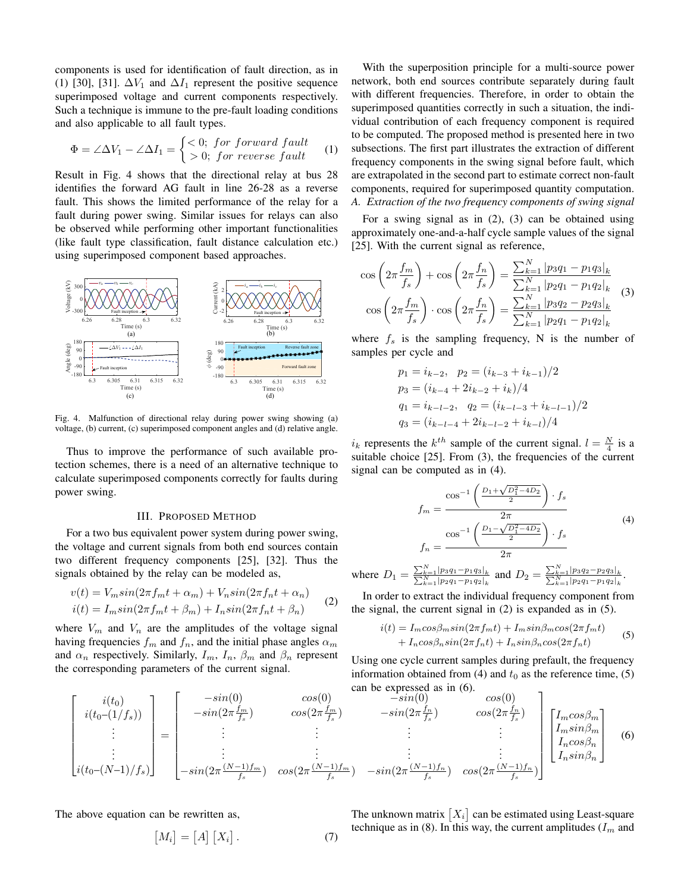components is used for identification of fault direction, as in (1) [30], [31].  $\Delta V_1$  and  $\Delta I_1$  represent the positive sequence superimposed voltage and current components respectively. Such a technique is immune to the pre-fault loading conditions and also applicable to all fault types.

$$
\Phi = \angle \Delta V_1 - \angle \Delta I_1 = \begin{cases} <0; & \text{for forward fault} \\ >0; & \text{for reverse fault} \end{cases} \tag{1}
$$

Result in Fig. 4 shows that the directional relay at bus 28 identifies the forward AG fault in line 26-28 as a reverse fault. This shows the limited performance of the relay for a fault during power swing. Similar issues for relays can also be observed while performing other important functionalities (like fault type classification, fault distance calculation etc.) using superimposed component based approaches.



Fig. 4. Malfunction of directional relay during power swing showing (a) voltage, (b) current, (c) superimposed component angles and (d) relative angle.

Thus to improve the performance of such available protection schemes, there is a need of an alternative technique to calculate superimposed components correctly for faults during power swing.

#### III. PROPOSED METHOD

For a two bus equivalent power system during power swing, the voltage and current signals from both end sources contain two different frequency components [25], [32]. Thus the signals obtained by the relay can be modeled as,

$$
v(t) = V_m \sin(2\pi f_m t + \alpha_m) + V_n \sin(2\pi f_n t + \alpha_n)
$$
  

$$
i(t) = I_m \sin(2\pi f_m t + \beta_m) + I_n \sin(2\pi f_n t + \beta_n)
$$
 (2)

where  $V_m$  and  $V_n$  are the amplitudes of the voltage signal having frequencies  $f_m$  and  $f_n$ , and the initial phase angles  $\alpha_m$ and  $\alpha_n$  respectively. Similarly,  $I_m$ ,  $I_n$ ,  $\beta_m$  and  $\beta_n$  represent the corresponding parameters of the current signal.

network, both end sources contribute separately during fault with different frequencies. Therefore, in order to obtain the superimposed quantities correctly in such a situation, the individual contribution of each frequency component is required to be computed. The proposed method is presented here in two subsections. The first part illustrates the extraction of different frequency components in the swing signal before fault, which are extrapolated in the second part to estimate correct non-fault components, required for superimposed quantity computation. *A. Extraction of the two frequency components of swing signal*

With the superposition principle for a multi-source power

For a swing signal as in (2), (3) can be obtained using approximately one-and-a-half cycle sample values of the signal [25]. With the current signal as reference,

$$
\cos\left(2\pi \frac{f_m}{f_s}\right) + \cos\left(2\pi \frac{f_n}{f_s}\right) = \frac{\sum_{k=1}^{N} |p_3 q_1 - p_1 q_3|_k}{\sum_{k=1}^{N} |p_2 q_1 - p_1 q_2|_k}
$$

$$
\cos\left(2\pi \frac{f_m}{f_s}\right) \cdot \cos\left(2\pi \frac{f_n}{f_s}\right) = \frac{\sum_{k=1}^{N} |p_3 q_2 - p_2 q_3|_k}{\sum_{k=1}^{N} |p_2 q_1 - p_1 q_2|_k}
$$
(3)

where  $f_s$  is the sampling frequency, N is the number of samples per cycle and

$$
p_1 = i_{k-2}, \quad p_2 = (i_{k-3} + i_{k-1})/2
$$
  
\n
$$
p_3 = (i_{k-4} + 2i_{k-2} + i_k)/4
$$
  
\n
$$
q_1 = i_{k-l-2}, \quad q_2 = (i_{k-l-3} + i_{k-l-1})/2
$$
  
\n
$$
q_3 = (i_{k-l-4} + 2i_{k-l-2} + i_{k-l})/4
$$

 $i_k$  represents the  $k^{th}$  sample of the current signal.  $l = \frac{N}{4}$  is a suitable choice [25]. From (3), the frequencies of the current signal can be computed as in (4).

$$
f_m = \frac{\cos^{-1}\left(\frac{D_1 + \sqrt{D_1^2 - 4D_2}}{2}\right) \cdot f_s}{2\pi}
$$
  

$$
f_n = \frac{\cos^{-1}\left(\frac{D_1 - \sqrt{D_1^2 - 4D_2}}{2}\right) \cdot f_s}{2\pi}
$$
 (4)

where  $D_1 = \frac{\sum_{k=1}^{N} |p_3q_1 - p_1q_3|_k}{\sum_{k=1}^{N} |p_2q_1 - p_1q_2|_k}$  and  $D_2 = \frac{\sum_{k=1}^{N} |p_3q_2 - p_2q_3|_k}{\sum_{k=1}^{N} |p_2q_1 - p_1q_2|_k}$ .

In order to extract the individual frequency component from the signal, the current signal in (2) is expanded as in (5).

$$
i(t) = I_m \cos\beta_m \sin(2\pi f_m t) + I_m \sin\beta_m \cos(2\pi f_m t)
$$
  
+ 
$$
I_n \cos\beta_n \sin(2\pi f_n t) + I_n \sin\beta_n \cos(2\pi f_n t)
$$
 (5)

Using one cycle current samples during prefault, the frequency information obtained from (4) and  $t_0$  as the reference time, (5) can be expressed as in (6).

$$
\begin{bmatrix}\ni(t_{0}) \\
i(t_{0}-(1/f_{s})) \\
\vdots \\
i(t_{0}-(N-1)/f_{s})\n\end{bmatrix} = \begin{bmatrix}\n-sin(0) & cos(0) & -sin(0) & cos(0) \\
-sin(2\pi\frac{f_{m}}{f_{s}}) & cos(2\pi\frac{f_{m}}{f_{s}}) & -sin(2\pi\frac{f_{n}}{f_{s}}) & cos(2\pi\frac{f_{n}}{f_{s}}) \\
\vdots & \vdots & \vdots \\
-sin(2\pi\frac{(N-1)f_{m}}{f_{s}}) & cos(2\pi\frac{(N-1)f_{m}}{f_{s}}) & -sin(2\pi\frac{(N-1)f_{n}}{f_{s}}) & cos(2\pi\frac{(N-1)f_{n}}{f_{s}})\n\end{bmatrix}\n\begin{bmatrix}\nI_{m}cos\beta_{m} \\
I_{n}sin\beta_{m} \\
I_{n}sin\beta_{n}\n\end{bmatrix}
$$
\n(6)

The above equation can be rewritten as,

$$
[M_i] = [A] [X_i]. \tag{7}
$$

The unknown matrix  $[X_i]$  can be estimated using Least-square technique as in (8). In this way, the current amplitudes  $(I_m$  and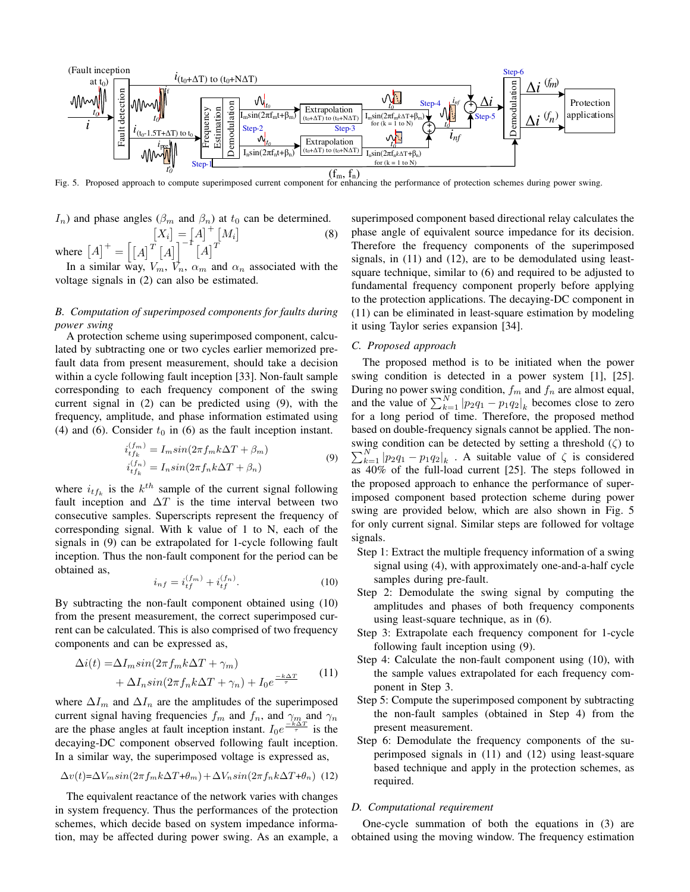

Fig. 5. Proposed approach to compute superimposed current component for enhancing the performance of protection schemes during power swing.

$$
I_n) \text{ and phase angles } (\beta_m \text{ and } \beta_n) \text{ at } t_0 \text{ can be determined.}
$$

$$
[X_i] = [A]^+ [M_i]
$$
(8)  
where  $[A]^+ = [(A]^T [A]]^{-1} [A]^T$ 

In a similar way,  $V_m$ ,  $V_n$ ,  $\alpha_m$  and  $\alpha_n$  associated with the voltage signals in (2) can also be estimated.

# *B. Computation of superimposed components for faults during power swing*

A protection scheme using superimposed component, calculated by subtracting one or two cycles earlier memorized prefault data from present measurement, should take a decision within a cycle following fault inception [33]. Non-fault sample corresponding to each frequency component of the swing current signal in (2) can be predicted using (9), with the frequency, amplitude, and phase information estimated using (4) and (6). Consider  $t_0$  in (6) as the fault inception instant.

$$
i_{tf_k}^{(f_m)} = I_m sin(2\pi f_m k \Delta T + \beta_m)
$$
  
\n
$$
i_{tf_k}^{(f_n)} = I_n sin(2\pi f_n k \Delta T + \beta_n)
$$
\n(9)

where  $i_{tf_k}$  is the  $k^{th}$  sample of the current signal following fault inception and  $\Delta T$  is the time interval between two consecutive samples. Superscripts represent the frequency of corresponding signal. With k value of 1 to N, each of the signals in (9) can be extrapolated for 1-cycle following fault inception. Thus the non-fault component for the period can be obtained as,

$$
i_{nf} = i_{tf}^{(fm)} + i_{tf}^{(fn)}.
$$
 (10)

By subtracting the non-fault component obtained using (10) from the present measurement, the correct superimposed current can be calculated. This is also comprised of two frequency components and can be expressed as,

$$
\Delta i(t) = \Delta I_m \sin(2\pi f_m k \Delta T + \gamma_m) + \Delta I_n \sin(2\pi f_n k \Delta T + \gamma_n) + I_0 e^{\frac{-k \Delta T}{\tau}}
$$
(11)

where  $\Delta I_m$  and  $\Delta I_n$  are the amplitudes of the superimposed current signal having frequencies  $f_m$  and  $f_n$ , and  $\gamma_m$  and  $\gamma_n$ are the phase angles at fault inception instant.  $I_0e^{\frac{-k\Delta T}{\tau}}$  is the decaying-DC component observed following fault inception. In a similar way, the superimposed voltage is expressed as,

$$
\Delta v(t) = \Delta V_m \sin(2\pi f_m k \Delta T + \theta_m) + \Delta V_n \sin(2\pi f_n k \Delta T + \theta_n)
$$
 (12)

The equivalent reactance of the network varies with changes in system frequency. Thus the performances of the protection schemes, which decide based on system impedance information, may be affected during power swing. As an example, a

superimposed component based directional relay calculates the phase angle of equivalent source impedance for its decision. Therefore the frequency components of the superimposed signals, in (11) and (12), are to be demodulated using leastsquare technique, similar to (6) and required to be adjusted to fundamental frequency component properly before applying to the protection applications. The decaying-DC component in (11) can be eliminated in least-square estimation by modeling it using Taylor series expansion [34].

## *C. Proposed approach*

The proposed method is to be initiated when the power swing condition is detected in a power system [1], [25]. During no power swing condition,  $f_m$  and  $f_n$  are almost equal, and the value of  $\sum_{k=1}^{N} |p_2q_1 - p_1q_2|_k$  becomes close to zero for a long period of time. Therefore, the proposed method based on double-frequency signals cannot be applied. The nonswing condition can be detected by setting a threshold  $(\zeta)$  to  $\sum_{k=1}^{N} |p_2q_1 - p_1q_2|_k$ . A suitable value of  $\zeta$  is considered as 40% of the full-load current [25]. The steps followed in the proposed approach to enhance the performance of superimposed component based protection scheme during power swing are provided below, which are also shown in Fig. 5 for only current signal. Similar steps are followed for voltage signals.

- Step 1: Extract the multiple frequency information of a swing signal using (4), with approximately one-and-a-half cycle samples during pre-fault.
- Step 2: Demodulate the swing signal by computing the amplitudes and phases of both frequency components using least-square technique, as in (6).
- Step 3: Extrapolate each frequency component for 1-cycle following fault inception using (9).
- Step 4: Calculate the non-fault component using (10), with the sample values extrapolated for each frequency component in Step 3.
- Step 5: Compute the superimposed component by subtracting the non-fault samples (obtained in Step 4) from the present measurement.
- Step 6: Demodulate the frequency components of the superimposed signals in (11) and (12) using least-square based technique and apply in the protection schemes, as required.

#### *D. Computational requirement*

One-cycle summation of both the equations in (3) are obtained using the moving window. The frequency estimation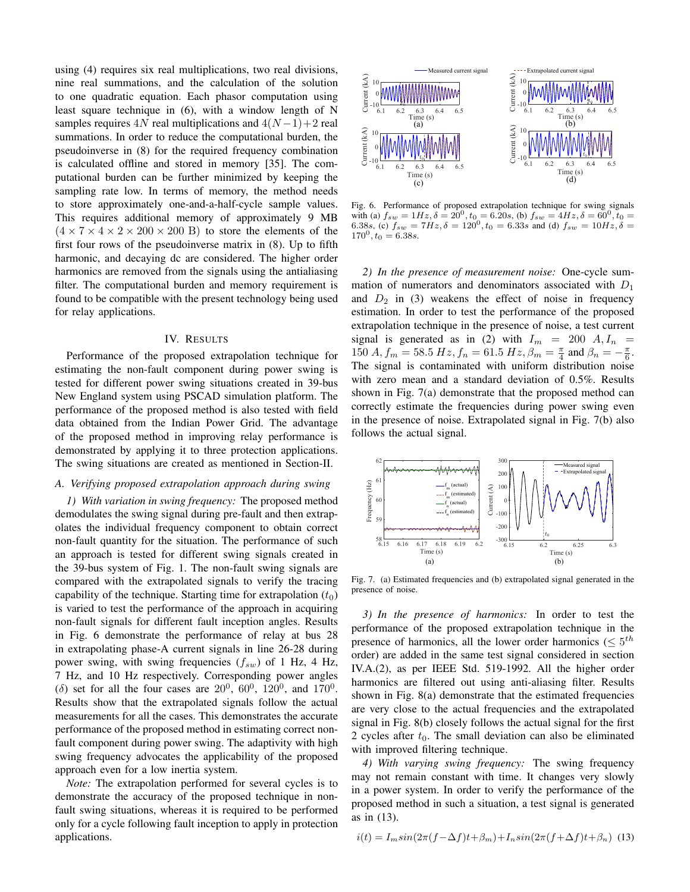using (4) requires six real multiplications, two real divisions, nine real summations, and the calculation of the solution to one quadratic equation. Each phasor computation using least square technique in (6), with a window length of N samples requires 4N real multiplications and  $4(N-1)+2$  real summations. In order to reduce the computational burden, the pseudoinverse in (8) for the required frequency combination is calculated offline and stored in memory [35]. The computational burden can be further minimized by keeping the sampling rate low. In terms of memory, the method needs to store approximately one-and-a-half-cycle sample values. This requires additional memory of approximately 9 MB  $(4 \times 7 \times 4 \times 2 \times 200 \times 200)$  B to store the elements of the first four rows of the pseudoinverse matrix in (8). Up to fifth harmonic, and decaying dc are considered. The higher order harmonics are removed from the signals using the antialiasing filter. The computational burden and memory requirement is found to be compatible with the present technology being used for relay applications.

## IV. RESULTS

Performance of the proposed extrapolation technique for estimating the non-fault component during power swing is tested for different power swing situations created in 39-bus New England system using PSCAD simulation platform. The performance of the proposed method is also tested with field data obtained from the Indian Power Grid. The advantage of the proposed method in improving relay performance is demonstrated by applying it to three protection applications. The swing situations are created as mentioned in Section-II.

## *A. Verifying proposed extrapolation approach during swing*

*1) With variation in swing frequency:* The proposed method demodulates the swing signal during pre-fault and then extrapolates the individual frequency component to obtain correct non-fault quantity for the situation. The performance of such an approach is tested for different swing signals created in the 39-bus system of Fig. 1. The non-fault swing signals are compared with the extrapolated signals to verify the tracing capability of the technique. Starting time for extrapolation  $(t_0)$ is varied to test the performance of the approach in acquiring non-fault signals for different fault inception angles. Results in Fig. 6 demonstrate the performance of relay at bus 28 in extrapolating phase-A current signals in line 26-28 during power swing, with swing frequencies  $(f_{sw})$  of 1 Hz, 4 Hz, 7 Hz, and 10 Hz respectively. Corresponding power angles ( $\delta$ ) set for all the four cases are 20<sup>0</sup>, 60<sup>0</sup>, 120<sup>0</sup>, and 170<sup>0</sup>. Results show that the extrapolated signals follow the actual measurements for all the cases. This demonstrates the accurate performance of the proposed method in estimating correct nonfault component during power swing. The adaptivity with high swing frequency advocates the applicability of the proposed approach even for a low inertia system.

*Note:* The extrapolation performed for several cycles is to demonstrate the accuracy of the proposed technique in nonfault swing situations, whereas it is required to be performed only for a cycle following fault inception to apply in protection applications.



Fig. 6. Performance of proposed extrapolation technique for swing signals with (a)  $f_{sw} = 1Hz$ ,  $\delta = 20^0$ ,  $t_0 = 6.20s$ , (b)  $f_{sw} = 4Hz$ ,  $\delta = 60^0$ ,  $t_0 =$ 6.38s, (c)  $f_{sw} = 7Hz$ ,  $\delta = 120^0$ ,  $t_0 = 6.33s$  and (d)  $f_{sw} = 10Hz$ ,  $\delta =$  $170^0, t_0 = 6.38s.$ 

*2) In the presence of measurement noise:* One-cycle summation of numerators and denominators associated with  $D_1$ and  $D_2$  in (3) weakens the effect of noise in frequency estimation. In order to test the performance of the proposed extrapolation technique in the presence of noise, a test current signal is generated as in (2) with  $I_m = 200 A, I_n =$ 150  $A, f_m = 58.5 Hz, f_n = 61.5 Hz, \beta_m = \frac{\pi}{4}$  and  $\beta_n = -\frac{\pi}{6}$ . The signal is contaminated with uniform distribution noise with zero mean and a standard deviation of 0.5%. Results shown in Fig. 7(a) demonstrate that the proposed method can correctly estimate the frequencies during power swing even in the presence of noise. Extrapolated signal in Fig. 7(b) also follows the actual signal.



Fig. 7. (a) Estimated frequencies and (b) extrapolated signal generated in the presence of noise.

*3) In the presence of harmonics:* In order to test the performance of the proposed extrapolation technique in the presence of harmonics, all the lower order harmonics ( $\leq 5^{th}$ order) are added in the same test signal considered in section IV.A.(2), as per IEEE Std. 519-1992. All the higher order harmonics are filtered out using anti-aliasing filter. Results shown in Fig. 8(a) demonstrate that the estimated frequencies are very close to the actual frequencies and the extrapolated signal in Fig. 8(b) closely follows the actual signal for the first 2 cycles after  $t_0$ . The small deviation can also be eliminated with improved filtering technique.

*4) With varying swing frequency:* The swing frequency may not remain constant with time. It changes very slowly in a power system. In order to verify the performance of the proposed method in such a situation, a test signal is generated as in (13).

$$
i(t) = I_m \sin(2\pi (f - \Delta f)t + \beta_m) + I_n \sin(2\pi (f + \Delta f)t + \beta_n)
$$
 (13)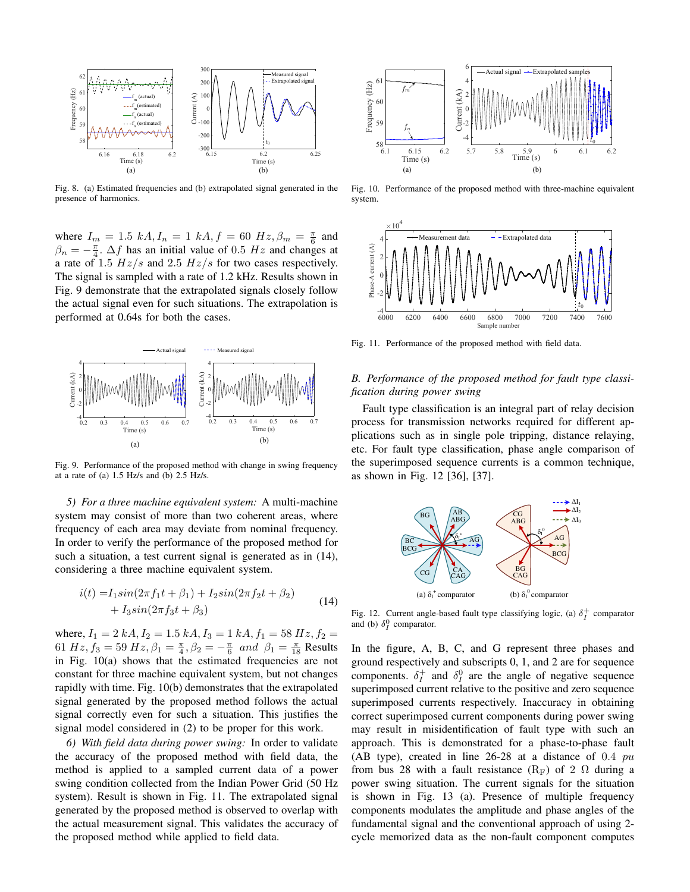

Fig. 8. (a) Estimated frequencies and (b) extrapolated signal generated in the presence of harmonics.

where  $I_m = 1.5 \ kA, I_n = 1 \ kA, f = 60 \ Hz, \beta_m = \frac{\pi}{6}$  and  $\beta_n = -\frac{\pi}{4}$ .  $\Delta f$  has an initial value of 0.5 Hz and changes at a rate of 1.5  $Hz/s$  and 2.5  $Hz/s$  for two cases respectively. The signal is sampled with a rate of 1.2 kHz. Results shown in Fig. 9 demonstrate that the extrapolated signals closely follow the actual signal even for such situations. The extrapolation is performed at 0.64s for both the cases.



Fig. 9. Performance of the proposed method with change in swing frequency at a rate of (a) 1.5 Hz/s and (b) 2.5 Hz/s.

*5) For a three machine equivalent system:* A multi-machine system may consist of more than two coherent areas, where frequency of each area may deviate from nominal frequency. In order to verify the performance of the proposed method for such a situation, a test current signal is generated as in (14), considering a three machine equivalent system.

$$
i(t) = I_1 \sin(2\pi f_1 t + \beta_1) + I_2 \sin(2\pi f_2 t + \beta_2)
$$
  
+ 
$$
I_3 \sin(2\pi f_3 t + \beta_3)
$$
 (14)

where,  $I_1 = 2 kA$ ,  $I_2 = 1.5 kA$ ,  $I_3 = 1 kA$ ,  $f_1 = 58 Hz$ ,  $f_2 =$ 61  $Hz, f_3 = 59 Hz, \beta_1 = \frac{\pi}{4}, \beta_2 = -\frac{\pi}{6}$  and  $\beta_1 = \frac{\pi}{18}$  Results in Fig. 10(a) shows that the estimated frequencies are not constant for three machine equivalent system, but not changes rapidly with time. Fig. 10(b) demonstrates that the extrapolated signal generated by the proposed method follows the actual signal correctly even for such a situation. This justifies the signal model considered in (2) to be proper for this work.

*6) With field data during power swing:* In order to validate the accuracy of the proposed method with field data, the method is applied to a sampled current data of a power swing condition collected from the Indian Power Grid (50 Hz system). Result is shown in Fig. 11. The extrapolated signal generated by the proposed method is observed to overlap with the actual measurement signal. This validates the accuracy of the proposed method while applied to field data.



Fig. 10. Performance of the proposed method with three-machine equivalent system.



Fig. 11. Performance of the proposed method with field data.

# *B. Performance of the proposed method for fault type classification during power swing*

Fault type classification is an integral part of relay decision process for transmission networks required for different applications such as in single pole tripping, distance relaying, etc. For fault type classification, phase angle comparison of the superimposed sequence currents is a common technique, as shown in Fig. 12 [36], [37].



Fig. 12. Current angle-based fault type classifying logic, (a)  $\delta_I^+$  comparator and (b)  $\delta_I^0$  comparator.

In the figure, A, B, C, and G represent three phases and ground respectively and subscripts 0, 1, and 2 are for sequence components.  $\delta_I^+$  and  $\delta_I^0$  are the angle of negative sequence superimposed current relative to the positive and zero sequence superimposed currents respectively. Inaccuracy in obtaining correct superimposed current components during power swing may result in misidentification of fault type with such an approach. This is demonstrated for a phase-to-phase fault (AB type), created in line  $26-28$  at a distance of 0.4  $pu$ from bus 28 with a fault resistance  $(R_F)$  of 2  $\Omega$  during a power swing situation. The current signals for the situation is shown in Fig. 13 (a). Presence of multiple frequency components modulates the amplitude and phase angles of the fundamental signal and the conventional approach of using 2 cycle memorized data as the non-fault component computes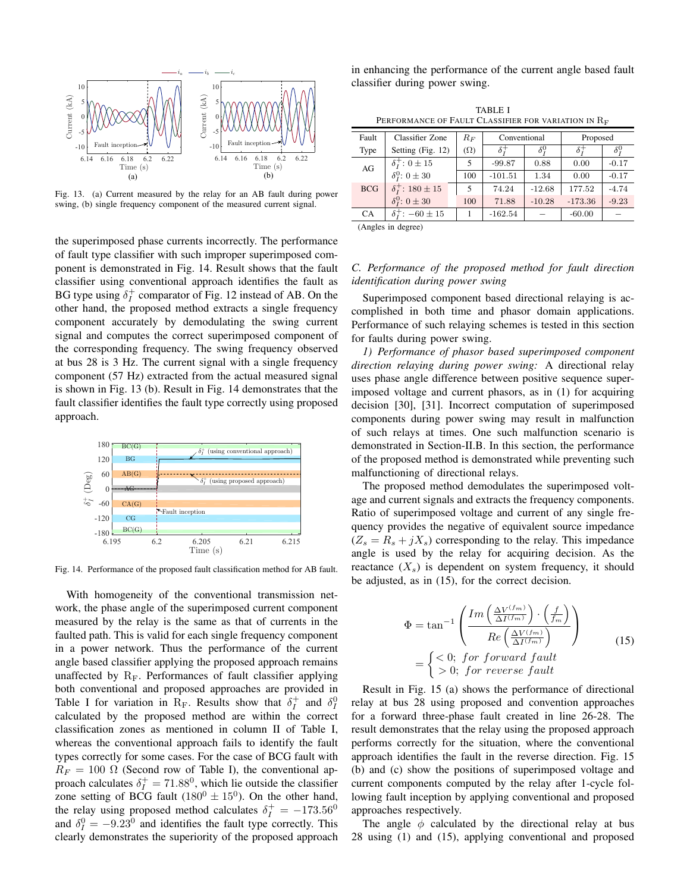

Fig. 13. (a) Current measured by the relay for an AB fault during power swing, (b) single frequency component of the measured current signal.

the superimposed phase currents incorrectly. The performance of fault type classifier with such improper superimposed component is demonstrated in Fig. 14. Result shows that the fault classifier using conventional approach identifies the fault as BG type using  $\delta_I^+$  comparator of Fig. 12 instead of AB. On the other hand, the proposed method extracts a single frequency component accurately by demodulating the swing current signal and computes the correct superimposed component of the corresponding frequency. The swing frequency observed at bus 28 is 3 Hz. The current signal with a single frequency component (57 Hz) extracted from the actual measured signal is shown in Fig. 13 (b). Result in Fig. 14 demonstrates that the fault classifier identifies the fault type correctly using proposed approach.



Fig. 14. Performance of the proposed fault classification method for AB fault.

With homogeneity of the conventional transmission network, the phase angle of the superimposed current component measured by the relay is the same as that of currents in the faulted path. This is valid for each single frequency component in a power network. Thus the performance of the current angle based classifier applying the proposed approach remains unaffected by  $R_F$ . Performances of fault classifier applying both conventional and proposed approaches are provided in Table I for variation in R<sub>F</sub>. Results show that  $\delta_I^+$  and  $\delta_I^0$ calculated by the proposed method are within the correct classification zones as mentioned in column II of Table I, whereas the conventional approach fails to identify the fault types correctly for some cases. For the case of BCG fault with  $R_F = 100 \Omega$  (Second row of Table I), the conventional approach calculates  $\delta_I^+ = 71.88^\circ$ , which lie outside the classifier zone setting of BCG fault  $(180^0 \pm 15^0)$ . On the other hand, the relay using proposed method calculates  $\delta_I^+ = -173.56^0$ and  $\delta_I^0 = -9.23^0$  and identifies the fault type correctly. This clearly demonstrates the superiority of the proposed approach in enhancing the performance of the current angle based fault classifier during power swing.

TABLE I PERFORMANCE OF FAULT CLASSIFIER FOR VARIATION IN R<sub>F</sub>

| Fault                                                                                                                                                                                                                                                                                 | <b>Classifier Zone</b>      | $R_F$      | Conventional          |              | Proposed   |              |
|---------------------------------------------------------------------------------------------------------------------------------------------------------------------------------------------------------------------------------------------------------------------------------------|-----------------------------|------------|-----------------------|--------------|------------|--------------|
| Type                                                                                                                                                                                                                                                                                  | Setting (Fig. 12)           | $(\Omega)$ | $\delta \overline{z}$ | $\delta_r^0$ | $\delta^+$ | $\delta_r^0$ |
| AG                                                                                                                                                                                                                                                                                    | $\delta_1^+$ : 0 $\pm$ 15   | 5          | $-99.87$              | 0.88         | 0.00       | $-0.17$      |
|                                                                                                                                                                                                                                                                                       | $\delta_I^0$ : $0 \pm 30$   | 100        | $-101.51$             | 1.34         | 0.00       | $-0.17$      |
| <b>BCG</b>                                                                                                                                                                                                                                                                            | $\delta_1^+$ : 180 ± 15     | 5          | 74.24                 | $-12.68$     | 177.52     | $-4.74$      |
|                                                                                                                                                                                                                                                                                       | $\delta_t^0$ : $0 \pm 30$   | 100        | 71.88                 | $-10.28$     | $-173.36$  | $-9.23$      |
| <b>CA</b>                                                                                                                                                                                                                                                                             | $\delta_1^+$ : $-60 \pm 15$ |            | $-162.54$             |              | $-60.00$   |              |
| $(A_1, A_2, A_3, A_4, A_5, A_6, A_7, A_8, A_9, A_1, A_2, A_1, A_2, A_3, A_4, A_5, A_6, A_7, A_8, A_9, A_1, A_2, A_3, A_1, A_2, A_3, A_1, A_2, A_3, A_4, A_5, A_6, A_7, A_8, A_9, A_1, A_2, A_3, A_1, A_2, A_3, A_1, A_2, A_3, A_4, A_5, A_4, A_5, A_6, A_7, A_8, A_9, A_1, A_2, A_3,$ |                             |            |                       |              |            |              |

(Angles in degree)

# *C. Performance of the proposed method for fault direction identification during power swing*

Superimposed component based directional relaying is accomplished in both time and phasor domain applications. Performance of such relaying schemes is tested in this section for faults during power swing.

*1) Performance of phasor based superimposed component direction relaying during power swing:* A directional relay uses phase angle difference between positive sequence superimposed voltage and current phasors, as in (1) for acquiring decision [30], [31]. Incorrect computation of superimposed components during power swing may result in malfunction of such relays at times. One such malfunction scenario is demonstrated in Section-II.B. In this section, the performance of the proposed method is demonstrated while preventing such malfunctioning of directional relays.

The proposed method demodulates the superimposed voltage and current signals and extracts the frequency components. Ratio of superimposed voltage and current of any single frequency provides the negative of equivalent source impedance  $(Z_s = R_s + jX_s)$  corresponding to the relay. This impedance angle is used by the relay for acquiring decision. As the reactance  $(X<sub>s</sub>)$  is dependent on system frequency, it should be adjusted, as in (15), for the correct decision.

$$
\Phi = \tan^{-1} \left( \frac{Im \left( \frac{\Delta V^{(f_m)}}{\Delta I^{(f_m)}} \right) \cdot \left( \frac{f}{f_m} \right)}{Re \left( \frac{\Delta V^{(f_m)}}{\Delta I^{(f_m)}} \right)} \right)
$$
\n
$$
= \begin{cases}\n< 0; \text{ for forward fault} \\
> 0; \text{ for reverse fault}\n\end{cases} \tag{15}
$$

Result in Fig. 15 (a) shows the performance of directional relay at bus 28 using proposed and convention approaches for a forward three-phase fault created in line 26-28. The result demonstrates that the relay using the proposed approach performs correctly for the situation, where the conventional approach identifies the fault in the reverse direction. Fig. 15 (b) and (c) show the positions of superimposed voltage and current components computed by the relay after 1-cycle following fault inception by applying conventional and proposed approaches respectively.

The angle  $\phi$  calculated by the directional relay at bus 28 using (1) and (15), applying conventional and proposed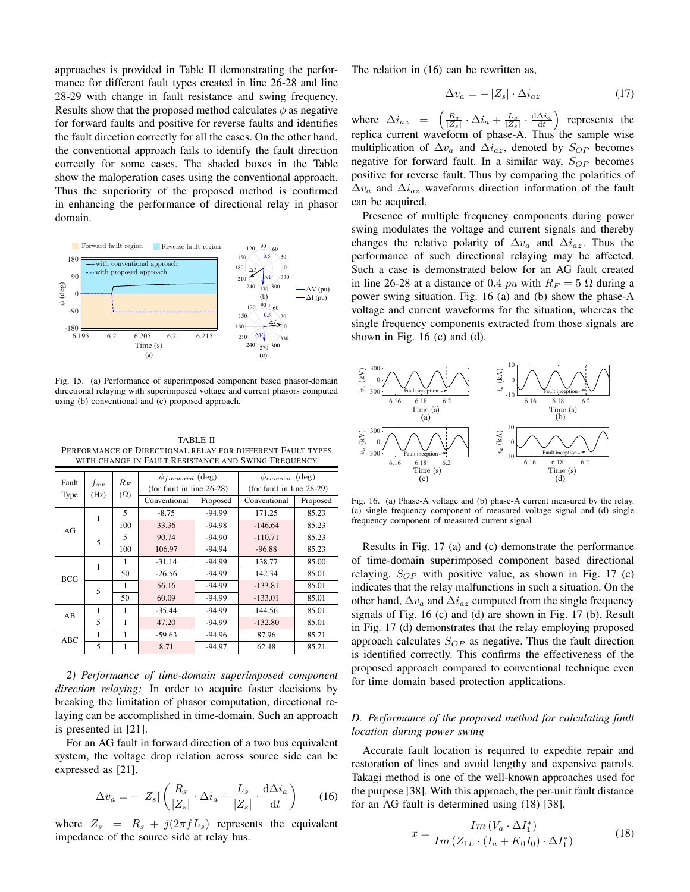approaches is provided in Table II demonstrating the performance for different fault types created in line 26-28 and line 28-29 with change in fault resistance and swing frequency. Results show that the proposed method calculates  $\phi$  as negative for forward faults and positive for reverse faults and identifies the fault direction correctly for all the cases. On the other hand, the conventional approach fails to identify the fault direction correctly for some cases. The shaded boxes in the Table show the maloperation cases using the conventional approach. Thus the superiority of the proposed method is confirmed in enhancing the performance of directional relay in phasor domain.



Fig. 15. (a) Performance of superimposed component based phasor-domain directional relaying with superimposed voltage and current phasors computed using (b) conventional and (c) proposed approach.

TABLE II PERFORMANCE OF DIRECTIONAL RELAY FOR DIFFERENT FAULT TYPES WITH CHANGE IN FAULT RESISTANCE AND SWING FREQUENCY

| Fault        | $f_{sw}$ | $R_F$<br>$(\Omega)$ | $\phi_{forward}$ (deg)<br>(for fault in line $26-28$ ) |          | $\phi_{reverse}$ (deg)<br>(for fault in line $28-29$ ) |          |  |
|--------------|----------|---------------------|--------------------------------------------------------|----------|--------------------------------------------------------|----------|--|
| Type         | (Hz)     |                     | Conventional                                           | Proposed | Conventional                                           | Proposed |  |
|              | 1        | 5                   | $-8.75$                                                | $-94.99$ | 171.25                                                 | 85.23    |  |
| AGr          |          | 100                 | 33.36                                                  | $-94.98$ | $-146.64$                                              | 85.23    |  |
|              | 5        | 5                   | 90.74                                                  | $-94.90$ | $-110.71$                                              | 85.23    |  |
|              |          | 100                 | 106.97                                                 | $-94.94$ | $-96.88$                                               | 85.23    |  |
| <b>BCG</b>   | 1        | 1                   | $-31.14$                                               | $-94.99$ | 138.77                                                 | 85.00    |  |
|              |          | 50                  | $-26.56$                                               | $-94.99$ | 142.34                                                 | 85.01    |  |
|              | 5        | 1                   | 56.16                                                  | $-94.99$ | $-133.81$                                              | 85.01    |  |
|              |          | 50                  | 60.09                                                  | $-94.99$ | $-133.01$                                              | 85.01    |  |
| 1<br>AB<br>5 | 1        | $-35.44$            | $-94.99$                                               | 144.56   | 85.01                                                  |          |  |
|              |          | 1                   | 47.20                                                  | $-94.99$ | $-132.80$                                              | 85.01    |  |
| ABC          |          | 1                   | $-59.63$                                               | $-94.96$ | 87.96                                                  | 85.21    |  |
|              | 5        | 1                   | 8.71                                                   | $-94.97$ | 62.48                                                  | 85.21    |  |

*2) Performance of time-domain superimposed component direction relaying:* In order to acquire faster decisions by breaking the limitation of phasor computation, directional relaying can be accomplished in time-domain. Such an approach is presented in [21].

For an AG fault in forward direction of a two bus equivalent system, the voltage drop relation across source side can be expressed as [21],

$$
\Delta v_a = -|Z_s| \left( \frac{R_s}{|Z_s|} \cdot \Delta i_a + \frac{L_s}{|Z_s|} \cdot \frac{d \Delta i_a}{dt} \right) \tag{16}
$$

where  $Z_s = R_s + j(2\pi f L_s)$  represents the equivalent impedance of the source side at relay bus.

The relation in (16) can be rewritten as,

$$
\Delta v_a = -|Z_s| \cdot \Delta i_{az} \tag{17}
$$

where  $\Delta i_{az} = \left( \frac{R_s}{|Z_s|} \cdot \Delta i_a + \frac{L_s}{|Z_s|} \cdot \frac{d \Delta i_a}{dt} \right)$  represents the replica current waveform of phase-A. Thus the sample wise multiplication of  $\Delta v_a$  and  $\Delta i_{az}$ , denoted by  $S_{OP}$  becomes negative for forward fault. In a similar way,  $S_{OP}$  becomes positive for reverse fault. Thus by comparing the polarities of  $\Delta v_a$  and  $\Delta i_{az}$  waveforms direction information of the fault can be acquired.

Presence of multiple frequency components during power swing modulates the voltage and current signals and thereby changes the relative polarity of  $\Delta v_a$  and  $\Delta i_{az}$ . Thus the performance of such directional relaying may be affected. Such a case is demonstrated below for an AG fault created in line 26-28 at a distance of 0.4 pu with  $R_F = 5 \Omega$  during a power swing situation. Fig. 16 (a) and (b) show the phase-A voltage and current waveforms for the situation, whereas the single frequency components extracted from those signals are shown in Fig.  $16$  (c) and (d).



Fig. 16. (a) Phase-A voltage and (b) phase-A current measured by the relay. (c) single frequency component of measured voltage signal and (d) single frequency component of measured current signal

Results in Fig. 17 (a) and (c) demonstrate the performance of time-domain superimposed component based directional relaying.  $S_{OP}$  with positive value, as shown in Fig. 17 (c) indicates that the relay malfunctions in such a situation. On the other hand,  $\Delta v_a$  and  $\Delta i_{az}$  computed from the single frequency signals of Fig. 16 (c) and (d) are shown in Fig. 17 (b). Result in Fig. 17 (d) demonstrates that the relay employing proposed approach calculates  $S_{OP}$  as negative. Thus the fault direction is identified correctly. This confirms the effectiveness of the proposed approach compared to conventional technique even for time domain based protection applications.

# *D. Performance of the proposed method for calculating fault location during power swing*

Accurate fault location is required to expedite repair and restoration of lines and avoid lengthy and expensive patrols. Takagi method is one of the well-known approaches used for the purpose [38]. With this approach, the per-unit fault distance for an AG fault is determined using (18) [38].

$$
x = \frac{Im\left(V_a \cdot \Delta I_1^*\right)}{Im\left(Z_{1L} \cdot \left(I_a + K_0 I_0\right) \cdot \Delta I_1^*\right)}\tag{18}
$$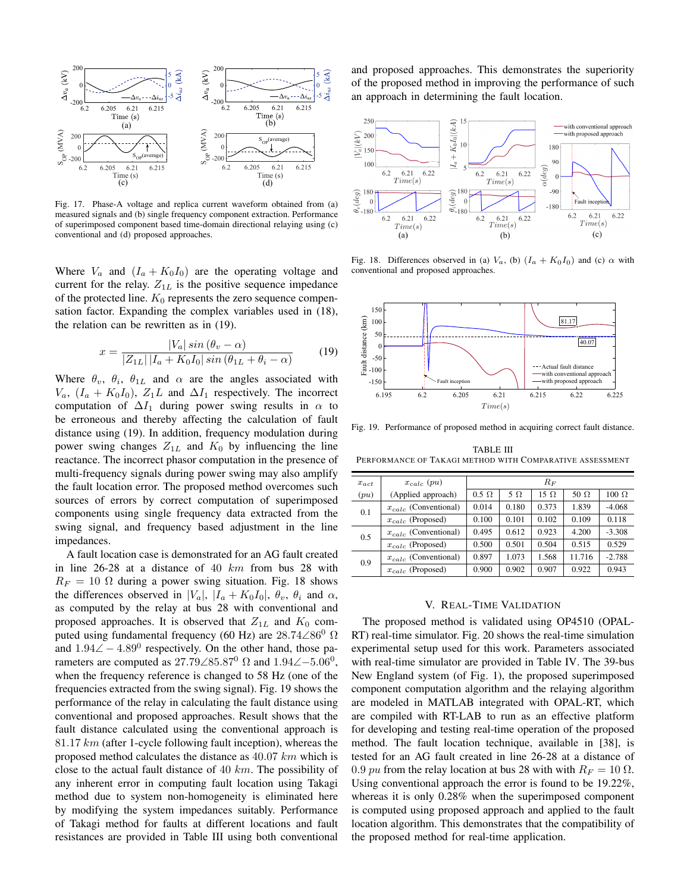

Fig. 17. Phase-A voltage and replica current waveform obtained from (a) measured signals and (b) single frequency component extraction. Performance of superimposed component based time-domain directional relaying using (c) conventional and (d) proposed approaches.

Where  $V_a$  and  $(I_a + K_0 I_0)$  are the operating voltage and current for the relay.  $Z_{1L}$  is the positive sequence impedance of the protected line.  $K_0$  represents the zero sequence compensation factor. Expanding the complex variables used in (18), the relation can be rewritten as in (19).

$$
x = \frac{|V_a| \sin(\theta_v - \alpha)}{|Z_{1L}| |I_a + K_0 I_0| \sin(\theta_{1L} + \theta_i - \alpha)} \tag{19}
$$

Where  $\theta_v$ ,  $\theta_i$ ,  $\theta_{1L}$  and  $\alpha$  are the angles associated with  $V_a$ ,  $(I_a + K_0 I_0)$ ,  $Z_1 L$  and  $\Delta I_1$  respectively. The incorrect computation of  $\Delta I_1$  during power swing results in  $\alpha$  to be erroneous and thereby affecting the calculation of fault distance using (19). In addition, frequency modulation during power swing changes  $Z_{1L}$  and  $K_0$  by influencing the line reactance. The incorrect phasor computation in the presence of multi-frequency signals during power swing may also amplify the fault location error. The proposed method overcomes such sources of errors by correct computation of superimposed components using single frequency data extracted from the swing signal, and frequency based adjustment in the line impedances.

A fault location case is demonstrated for an AG fault created in line 26-28 at a distance of 40 km from bus 28 with  $R_F = 10 \Omega$  during a power swing situation. Fig. 18 shows the differences observed in  $|V_a|$ ,  $|I_a + K_0 I_0|$ ,  $\theta_v$ ,  $\theta_i$  and  $\alpha$ , as computed by the relay at bus 28 with conventional and proposed approaches. It is observed that  $Z_{1L}$  and  $K_0$  computed using fundamental frequency (60 Hz) are  $28.74\angle 86^{\circ}$   $\Omega$ and  $1.94\angle -4.89^{\circ}$  respectively. On the other hand, those parameters are computed as 27.79∠85.87<sup>0</sup>  $\Omega$  and 1.94∠–5.06<sup>0</sup>, when the frequency reference is changed to 58 Hz (one of the frequencies extracted from the swing signal). Fig. 19 shows the performance of the relay in calculating the fault distance using conventional and proposed approaches. Result shows that the fault distance calculated using the conventional approach is 81.17  $km$  (after 1-cycle following fault inception), whereas the proposed method calculates the distance as 40.07 km which is close to the actual fault distance of 40  $km$ . The possibility of any inherent error in computing fault location using Takagi method due to system non-homogeneity is eliminated here by modifying the system impedances suitably. Performance of Takagi method for faults at different locations and fault resistances are provided in Table III using both conventional and proposed approaches. This demonstrates the superiority of the proposed method in improving the performance of such an approach in determining the fault location.



Fig. 18. Differences observed in (a)  $V_a$ , (b)  $(I_a + K_0 I_0)$  and (c)  $\alpha$  with conventional and proposed approaches.



Fig. 19. Performance of proposed method in acquiring correct fault distance.

TABLE III PERFORMANCE OF TAKAGI METHOD WITH COMPARATIVE ASSESSMENT

| $x_{act}$ | $x_{calc}$ (pu)           | $R_F$        |           |             |             |              |
|-----------|---------------------------|--------------|-----------|-------------|-------------|--------------|
| (pu)      | (Applied approach)        | $0.5 \Omega$ | $5\Omega$ | $15 \Omega$ | 50 $\Omega$ | $100 \Omega$ |
| 0.1       | $x_{calc}$ (Conventional) | 0.014        | 0.180     | 0.373       | 1.839       | $-4.068$     |
|           | $x_{calc}$ (Proposed)     | 0.100        | 0.101     | 0.102       | 0.109       | 0.118        |
| 0.5       | $x_{calc}$ (Conventional) | 0.495        | 0.612     | 0.923       | 4.200       | $-3.308$     |
|           | $x_{calc}$ (Proposed)     | 0.500        | 0.501     | 0.504       | 0.515       | 0.529        |
| 0.9       | $x_{calc}$ (Conventional) | 0.897        | 1.073     | 1.568       | 11.716      | $-2.788$     |
|           | $x_{calc}$ (Proposed)     | 0.900        | 0.902     | 0.907       | 0.922       | 0.943        |

## V. REAL-TIME VALIDATION

The proposed method is validated using OP4510 (OPAL-RT) real-time simulator. Fig. 20 shows the real-time simulation experimental setup used for this work. Parameters associated with real-time simulator are provided in Table IV. The 39-bus New England system (of Fig. 1), the proposed superimposed component computation algorithm and the relaying algorithm are modeled in MATLAB integrated with OPAL-RT, which are compiled with RT-LAB to run as an effective platform for developing and testing real-time operation of the proposed method. The fault location technique, available in [38], is tested for an AG fault created in line 26-28 at a distance of 0.9 pu from the relay location at bus 28 with with  $R_F = 10 \Omega$ . Using conventional approach the error is found to be 19.22%, whereas it is only 0.28% when the superimposed component is computed using proposed approach and applied to the fault location algorithm. This demonstrates that the compatibility of the proposed method for real-time application.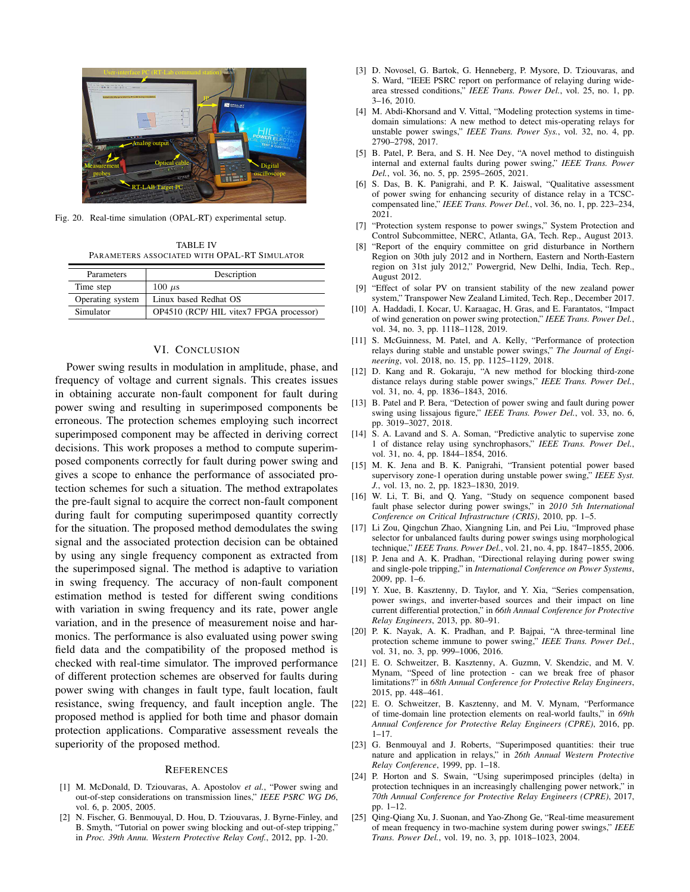

Fig. 20. Real-time simulation (OPAL-RT) experimental setup.

TABLE IV PARAMETERS ASSOCIATED WITH OPAL-RT SIMULATOR

| Parameters       | Description                             |  |  |  |
|------------------|-----------------------------------------|--|--|--|
| Time step        | $100 \mu s$                             |  |  |  |
| Operating system | Linux based Redhat OS                   |  |  |  |
| Simulator        | OP4510 (RCP/ HIL vitex7 FPGA processor) |  |  |  |

# VI. CONCLUSION

Power swing results in modulation in amplitude, phase, and frequency of voltage and current signals. This creates issues in obtaining accurate non-fault component for fault during power swing and resulting in superimposed components be erroneous. The protection schemes employing such incorrect superimposed component may be affected in deriving correct decisions. This work proposes a method to compute superimposed components correctly for fault during power swing and gives a scope to enhance the performance of associated protection schemes for such a situation. The method extrapolates the pre-fault signal to acquire the correct non-fault component during fault for computing superimposed quantity correctly for the situation. The proposed method demodulates the swing signal and the associated protection decision can be obtained by using any single frequency component as extracted from the superimposed signal. The method is adaptive to variation in swing frequency. The accuracy of non-fault component estimation method is tested for different swing conditions with variation in swing frequency and its rate, power angle variation, and in the presence of measurement noise and harmonics. The performance is also evaluated using power swing field data and the compatibility of the proposed method is checked with real-time simulator. The improved performance of different protection schemes are observed for faults during power swing with changes in fault type, fault location, fault resistance, swing frequency, and fault inception angle. The proposed method is applied for both time and phasor domain protection applications. Comparative assessment reveals the superiority of the proposed method.

#### **REFERENCES**

- [1] M. McDonald, D. Tziouvaras, A. Apostolov *et al.*, "Power swing and out-of-step considerations on transmission lines," *IEEE PSRC WG D6*, vol. 6, p. 2005, 2005.
- [2] N. Fischer, G. Benmouyal, D. Hou, D. Tziouvaras, J. Byrne-Finley, and B. Smyth, "Tutorial on power swing blocking and out-of-step tripping," in *Proc. 39th Annu. Western Protective Relay Conf.*, 2012, pp. 1-20.
- [3] D. Novosel, G. Bartok, G. Henneberg, P. Mysore, D. Tziouvaras, and S. Ward, "IEEE PSRC report on performance of relaying during widearea stressed conditions," *IEEE Trans. Power Del.*, vol. 25, no. 1, pp. 3–16, 2010.
- [4] M. Abdi-Khorsand and V. Vittal, "Modeling protection systems in timedomain simulations: A new method to detect mis-operating relays for unstable power swings," *IEEE Trans. Power Sys.*, vol. 32, no. 4, pp. 2790–2798, 2017.
- [5] B. Patel, P. Bera, and S. H. Nee Dey, "A novel method to distinguish internal and external faults during power swing," *IEEE Trans. Power Del.*, vol. 36, no. 5, pp. 2595–2605, 2021.
- [6] S. Das, B. K. Panigrahi, and P. K. Jaiswal, "Qualitative assessment of power swing for enhancing security of distance relay in a TCSCcompensated line," *IEEE Trans. Power Del.*, vol. 36, no. 1, pp. 223–234, 2021.
- [7] "Protection system response to power swings," System Protection and Control Subcommittee, NERC, Atlanta, GA, Tech. Rep., August 2013.
- [8] "Report of the enquiry committee on grid disturbance in Northern Region on 30th july 2012 and in Northern, Eastern and North-Eastern region on 31st july 2012," Powergrid, New Delhi, India, Tech. Rep., August 2012.
- [9] "Effect of solar PV on transient stability of the new zealand power system," Transpower New Zealand Limited, Tech. Rep., December 2017.
- [10] A. Haddadi, I. Kocar, U. Karaagac, H. Gras, and E. Farantatos, "Impact of wind generation on power swing protection," *IEEE Trans. Power Del.*, vol. 34, no. 3, pp. 1118–1128, 2019.
- [11] S. McGuinness, M. Patel, and A. Kelly, "Performance of protection relays during stable and unstable power swings," *The Journal of Engineering*, vol. 2018, no. 15, pp. 1125–1129, 2018.
- [12] D. Kang and R. Gokaraju, "A new method for blocking third-zone distance relays during stable power swings," *IEEE Trans. Power Del.*, vol. 31, no. 4, pp. 1836–1843, 2016.
- [13] B. Patel and P. Bera, "Detection of power swing and fault during power swing using lissajous figure," *IEEE Trans. Power Del.*, vol. 33, no. 6, pp. 3019–3027, 2018.
- [14] S. A. Lavand and S. A. Soman, "Predictive analytic to supervise zone 1 of distance relay using synchrophasors," *IEEE Trans. Power Del.*, vol. 31, no. 4, pp. 1844–1854, 2016.
- [15] M. K. Jena and B. K. Panigrahi, "Transient potential power based supervisory zone-1 operation during unstable power swing," *IEEE Syst. J.*, vol. 13, no. 2, pp. 1823–1830, 2019.
- [16] W. Li, T. Bi, and Q. Yang, "Study on sequence component based fault phase selector during power swings," in *2010 5th International Conference on Critical Infrastructure (CRIS)*, 2010, pp. 1–5.
- [17] Li Zou, Qingchun Zhao, Xiangning Lin, and Pei Liu, "Improved phase selector for unbalanced faults during power swings using morphological technique," *IEEE Trans. Power Del.*, vol. 21, no. 4, pp. 1847–1855, 2006.
- [18] P. Jena and A. K. Pradhan, "Directional relaying during power swing and single-pole tripping," in *International Conference on Power Systems*, 2009, pp. 1–6.
- [19] Y. Xue, B. Kasztenny, D. Taylor, and Y. Xia, "Series compensation, power swings, and inverter-based sources and their impact on line current differential protection," in *66th Annual Conference for Protective Relay Engineers*, 2013, pp. 80–91.
- [20] P. K. Nayak, A. K. Pradhan, and P. Bajpai, "A three-terminal line protection scheme immune to power swing," *IEEE Trans. Power Del.*, vol. 31, no. 3, pp. 999–1006, 2016.
- [21] E. O. Schweitzer, B. Kasztenny, A. Guzmn, V. Skendzic, and M. V. Mynam, "Speed of line protection - can we break free of phasor limitations?" in *68th Annual Conference for Protective Relay Engineers*, 2015, pp. 448–461.
- [22] E. O. Schweitzer, B. Kasztenny, and M. V. Mynam, "Performance of time-domain line protection elements on real-world faults," in *69th Annual Conference for Protective Relay Engineers (CPRE)*, 2016, pp.  $1 - 17$ .
- [23] G. Benmouyal and J. Roberts, "Superimposed quantities: their true nature and application in relays," in *26th Annual Western Protective Relay Conference*, 1999, pp. 1–18.
- [24] P. Horton and S. Swain, "Using superimposed principles (delta) in protection techniques in an increasingly challenging power network," in *70th Annual Conference for Protective Relay Engineers (CPRE)*, 2017, pp. 1–12.
- [25] Qing-Qiang Xu, J. Suonan, and Yao-Zhong Ge, "Real-time measurement of mean frequency in two-machine system during power swings," *IEEE Trans. Power Del.*, vol. 19, no. 3, pp. 1018–1023, 2004.